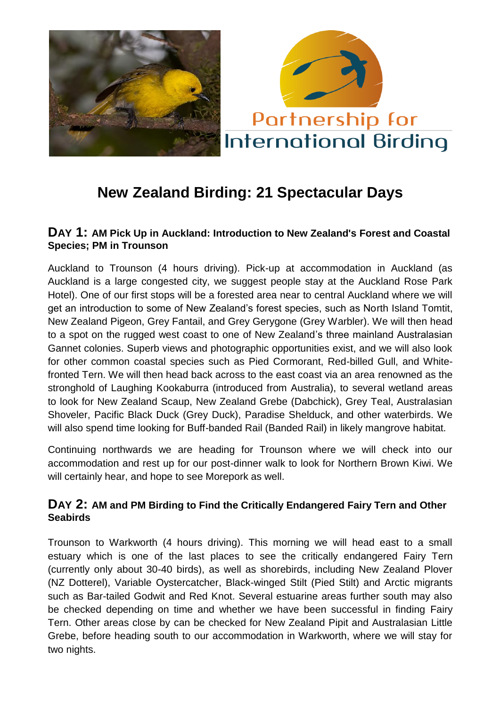

# **New Zealand Birding: 21 Spectacular Days**

#### **DAY 1: AM Pick Up in Auckland: Introduction to New Zealand's Forest and Coastal Species; PM in Trounson**

Auckland to Trounson (4 hours driving). Pick-up at accommodation in Auckland (as Auckland is a large congested city, we suggest people stay at the Auckland Rose Park Hotel). One of our first stops will be a forested area near to central Auckland where we will get an introduction to some of New Zealand's forest species, such as North Island Tomtit, New Zealand Pigeon, Grey Fantail, and Grey Gerygone (Grey Warbler). We will then head to a spot on the rugged west coast to one of New Zealand's three mainland Australasian Gannet colonies. Superb views and photographic opportunities exist, and we will also look for other common coastal species such as Pied Cormorant, Red-billed Gull, and Whitefronted Tern. We will then head back across to the east coast via an area renowned as the stronghold of Laughing Kookaburra (introduced from Australia), to several wetland areas to look for New Zealand Scaup, New Zealand Grebe (Dabchick), Grey Teal, Australasian Shoveler, Pacific Black Duck (Grey Duck), Paradise Shelduck, and other waterbirds. We will also spend time looking for Buff-banded Rail (Banded Rail) in likely mangrove habitat.

Continuing northwards we are heading for Trounson where we will check into our accommodation and rest up for our post-dinner walk to look for Northern Brown Kiwi. We will certainly hear, and hope to see Morepork as well.

#### **DAY 2: AM and PM Birding to Find the Critically Endangered Fairy Tern and Other Seabirds**

Trounson to Warkworth (4 hours driving). This morning we will head east to a small estuary which is one of the last places to see the critically endangered Fairy Tern (currently only about 30-40 birds), as well as shorebirds, including New Zealand Plover (NZ Dotterel), Variable Oystercatcher, Black-winged Stilt (Pied Stilt) and Arctic migrants such as Bar-tailed Godwit and Red Knot. Several estuarine areas further south may also be checked depending on time and whether we have been successful in finding Fairy Tern. Other areas close by can be checked for New Zealand Pipit and Australasian Little Grebe, before heading south to our accommodation in Warkworth, where we will stay for two nights.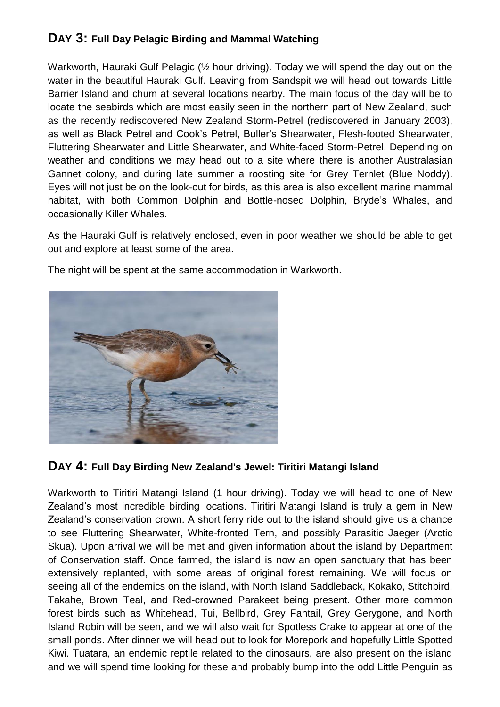## **DAY 3: Full Day Pelagic Birding and Mammal Watching**

Warkworth, Hauraki Gulf Pelagic ( $\frac{1}{2}$  hour driving). Today we will spend the day out on the water in the beautiful Hauraki Gulf. Leaving from Sandspit we will head out towards Little Barrier Island and chum at several locations nearby. The main focus of the day will be to locate the seabirds which are most easily seen in the northern part of New Zealand, such as the recently rediscovered New Zealand Storm-Petrel (rediscovered in January 2003), as well as Black Petrel and Cook's Petrel, Buller's Shearwater, Flesh-footed Shearwater, Fluttering Shearwater and Little Shearwater, and White-faced Storm-Petrel. Depending on weather and conditions we may head out to a site where there is another Australasian Gannet colony, and during late summer a roosting site for Grey Ternlet (Blue Noddy). Eyes will not just be on the look-out for birds, as this area is also excellent marine mammal habitat, with both Common Dolphin and Bottle-nosed Dolphin, Bryde's Whales, and occasionally Killer Whales.

As the Hauraki Gulf is relatively enclosed, even in poor weather we should be able to get out and explore at least some of the area.





#### **DAY 4: Full Day Birding New Zealand's Jewel: Tiritiri Matangi Island**

Warkworth to Tiritiri Matangi Island (1 hour driving). Today we will head to one of New Zealand's most incredible birding locations. Tiritiri Matangi Island is truly a gem in New Zealand's conservation crown. A short ferry ride out to the island should give us a chance to see Fluttering Shearwater, White-fronted Tern, and possibly Parasitic Jaeger (Arctic Skua). Upon arrival we will be met and given information about the island by Department of Conservation staff. Once farmed, the island is now an open sanctuary that has been extensively replanted, with some areas of original forest remaining. We will focus on seeing all of the endemics on the island, with North Island Saddleback, Kokako, Stitchbird, Takahe, Brown Teal, and Red-crowned Parakeet being present. Other more common forest birds such as Whitehead, Tui, Bellbird, Grey Fantail, Grey Gerygone, and North Island Robin will be seen, and we will also wait for Spotless Crake to appear at one of the small ponds. After dinner we will head out to look for Morepork and hopefully Little Spotted Kiwi. Tuatara, an endemic reptile related to the dinosaurs, are also present on the island and we will spend time looking for these and probably bump into the odd Little Penguin as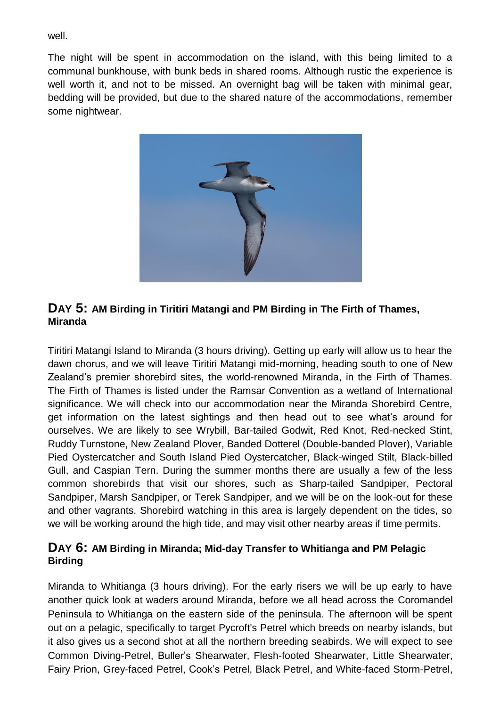well.

The night will be spent in accommodation on the island, with this being limited to a communal bunkhouse, with bunk beds in shared rooms. Although rustic the experience is well worth it, and not to be missed. An overnight bag will be taken with minimal gear, bedding will be provided, but due to the shared nature of the accommodations, remember some nightwear.



#### **DAY 5: AM Birding in Tiritiri Matangi and PM Birding in The Firth of Thames, Miranda**

Tiritiri Matangi Island to Miranda (3 hours driving). Getting up early will allow us to hear the dawn chorus, and we will leave Tiritiri Matangi mid-morning, heading south to one of New Zealand's premier shorebird sites, the world-renowned Miranda, in the Firth of Thames. The Firth of Thames is listed under the Ramsar Convention as a wetland of International significance. We will check into our accommodation near the Miranda Shorebird Centre, get information on the latest sightings and then head out to see what's around for ourselves. We are likely to see Wrybill, Bar-tailed Godwit, Red Knot, Red-necked Stint, Ruddy Turnstone, New Zealand Plover, Banded Dotterel (Double-banded Plover), Variable Pied Oystercatcher and South Island Pied Oystercatcher, Black-winged Stilt, Black-billed Gull, and Caspian Tern. During the summer months there are usually a few of the less common shorebirds that visit our shores, such as Sharp-tailed Sandpiper, Pectoral Sandpiper, Marsh Sandpiper, or Terek Sandpiper, and we will be on the look-out for these and other vagrants. Shorebird watching in this area is largely dependent on the tides, so we will be working around the high tide, and may visit other nearby areas if time permits.

#### **DAY 6: AM Birding in Miranda; Mid-day Transfer to Whitianga and PM Pelagic Birding**

Miranda to Whitianga (3 hours driving). For the early risers we will be up early to have another quick look at waders around Miranda, before we all head across the Coromandel Peninsula to Whitianga on the eastern side of the peninsula. The afternoon will be spent out on a pelagic, specifically to target Pycroft's Petrel which breeds on nearby islands, but it also gives us a second shot at all the northern breeding seabirds. We will expect to see Common Diving-Petrel, Buller's Shearwater, Flesh-footed Shearwater, Little Shearwater, Fairy Prion, Grey-faced Petrel, Cook's Petrel, Black Petrel, and White-faced Storm-Petrel,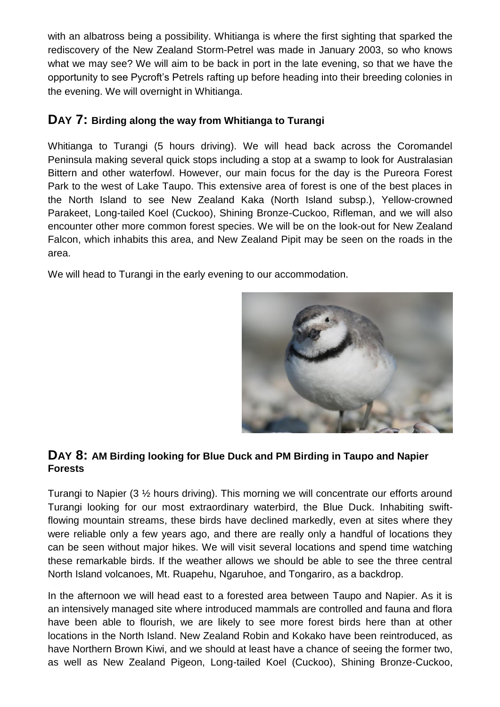with an albatross being a possibility. Whitianga is where the first sighting that sparked the rediscovery of the New Zealand Storm-Petrel was made in January 2003, so who knows what we may see? We will aim to be back in port in the late evening, so that we have the opportunity to see Pycroft's Petrels rafting up before heading into their breeding colonies in the evening. We will overnight in Whitianga.

## **DAY 7: Birding along the way from Whitianga to Turangi**

Whitianga to Turangi (5 hours driving). We will head back across the Coromandel Peninsula making several quick stops including a stop at a swamp to look for Australasian Bittern and other waterfowl. However, our main focus for the day is the Pureora Forest Park to the west of Lake Taupo. This extensive area of forest is one of the best places in the North Island to see New Zealand Kaka (North Island subsp.), Yellow-crowned Parakeet, Long-tailed Koel (Cuckoo), Shining Bronze-Cuckoo, Rifleman, and we will also encounter other more common forest species. We will be on the look-out for New Zealand Falcon, which inhabits this area, and New Zealand Pipit may be seen on the roads in the area.

We will head to Turangi in the early evening to our accommodation.



#### **DAY 8: AM Birding looking for Blue Duck and PM Birding in Taupo and Napier Forests**

Turangi to Napier (3 ½ hours driving). This morning we will concentrate our efforts around Turangi looking for our most extraordinary waterbird, the Blue Duck. Inhabiting swiftflowing mountain streams, these birds have declined markedly, even at sites where they were reliable only a few years ago, and there are really only a handful of locations they can be seen without major hikes. We will visit several locations and spend time watching these remarkable birds. If the weather allows we should be able to see the three central North Island volcanoes, Mt. Ruapehu, Ngaruhoe, and Tongariro, as a backdrop.

In the afternoon we will head east to a forested area between Taupo and Napier. As it is an intensively managed site where introduced mammals are controlled and fauna and flora have been able to flourish, we are likely to see more forest birds here than at other locations in the North Island. New Zealand Robin and Kokako have been reintroduced, as have Northern Brown Kiwi, and we should at least have a chance of seeing the former two, as well as New Zealand Pigeon, Long-tailed Koel (Cuckoo), Shining Bronze-Cuckoo,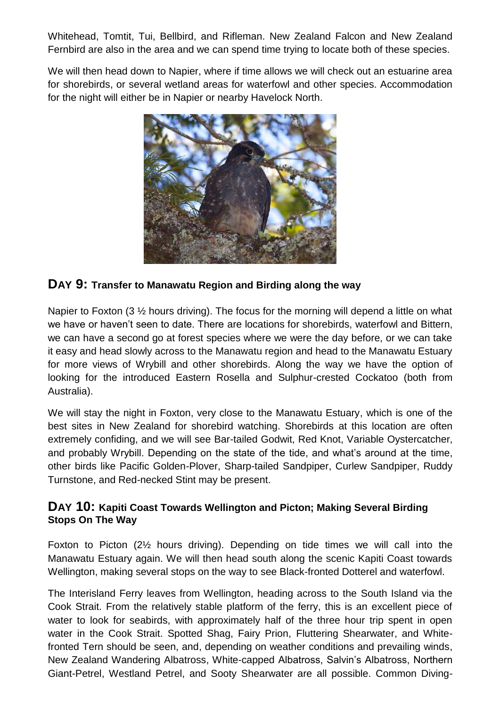Whitehead, Tomtit, Tui, Bellbird, and Rifleman. New Zealand Falcon and New Zealand Fernbird are also in the area and we can spend time trying to locate both of these species.

We will then head down to Napier, where if time allows we will check out an estuarine area for shorebirds, or several wetland areas for waterfowl and other species. Accommodation for the night will either be in Napier or nearby Havelock North.



#### **DAY 9: Transfer to Manawatu Region and Birding along the way**

Napier to Foxton (3  $\frac{1}{2}$  hours driving). The focus for the morning will depend a little on what we have or haven't seen to date. There are locations for shorebirds, waterfowl and Bittern, we can have a second go at forest species where we were the day before, or we can take it easy and head slowly across to the Manawatu region and head to the Manawatu Estuary for more views of Wrybill and other shorebirds. Along the way we have the option of looking for the introduced Eastern Rosella and Sulphur-crested Cockatoo (both from Australia).

We will stay the night in Foxton, very close to the Manawatu Estuary, which is one of the best sites in New Zealand for shorebird watching. Shorebirds at this location are often extremely confiding, and we will see Bar-tailed Godwit, Red Knot, Variable Oystercatcher, and probably Wrybill. Depending on the state of the tide, and what's around at the time, other birds like Pacific Golden-Plover, Sharp-tailed Sandpiper, Curlew Sandpiper, Ruddy Turnstone, and Red-necked Stint may be present.

#### **DAY 10: Kapiti Coast Towards Wellington and Picton; Making Several Birding Stops On The Way**

Foxton to Picton (2½ hours driving). Depending on tide times we will call into the Manawatu Estuary again. We will then head south along the scenic Kapiti Coast towards Wellington, making several stops on the way to see Black-fronted Dotterel and waterfowl.

The Interisland Ferry leaves from Wellington, heading across to the South Island via the Cook Strait. From the relatively stable platform of the ferry, this is an excellent piece of water to look for seabirds, with approximately half of the three hour trip spent in open water in the Cook Strait. Spotted Shag, Fairy Prion, Fluttering Shearwater, and Whitefronted Tern should be seen, and, depending on weather conditions and prevailing winds, New Zealand Wandering Albatross, White-capped Albatross, Salvin's Albatross, Northern Giant-Petrel, Westland Petrel, and Sooty Shearwater are all possible. Common Diving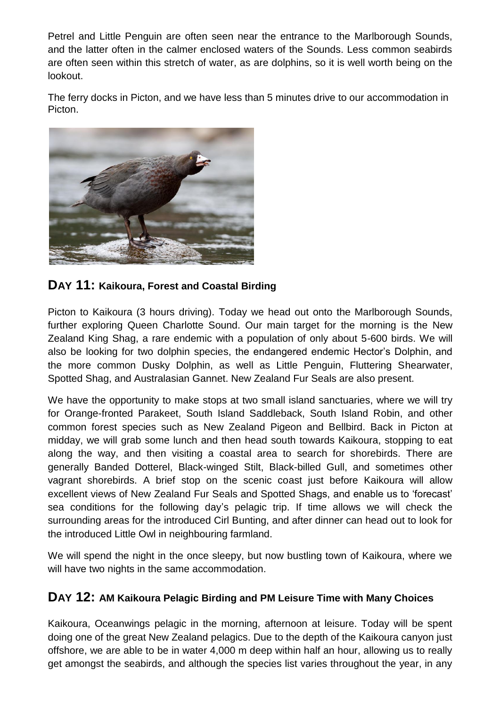Petrel and Little Penguin are often seen near the entrance to the Marlborough Sounds, and the latter often in the calmer enclosed waters of the Sounds. Less common seabirds are often seen within this stretch of water, as are dolphins, so it is well worth being on the lookout.

The ferry docks in Picton, and we have less than 5 minutes drive to our accommodation in Picton.



## **DAY 11: Kaikoura, Forest and Coastal Birding**

Picton to Kaikoura (3 hours driving). Today we head out onto the Marlborough Sounds, further exploring Queen Charlotte Sound. Our main target for the morning is the New Zealand King Shag, a rare endemic with a population of only about 5-600 birds. We will also be looking for two dolphin species, the endangered endemic Hector's Dolphin, and the more common Dusky Dolphin, as well as Little Penguin, Fluttering Shearwater, Spotted Shag, and Australasian Gannet. New Zealand Fur Seals are also present.

We have the opportunity to make stops at two small island sanctuaries, where we will try for Orange-fronted Parakeet, South Island Saddleback, South Island Robin, and other common forest species such as New Zealand Pigeon and Bellbird. Back in Picton at midday, we will grab some lunch and then head south towards Kaikoura, stopping to eat along the way, and then visiting a coastal area to search for shorebirds. There are generally Banded Dotterel, Black-winged Stilt, Black-billed Gull, and sometimes other vagrant shorebirds. A brief stop on the scenic coast just before Kaikoura will allow excellent views of New Zealand Fur Seals and Spotted Shags, and enable us to 'forecast' sea conditions for the following day's pelagic trip. If time allows we will check the surrounding areas for the introduced Cirl Bunting, and after dinner can head out to look for the introduced Little Owl in neighbouring farmland.

We will spend the night in the once sleepy, but now bustling town of Kaikoura, where we will have two nights in the same accommodation.

#### **DAY 12: AM Kaikoura Pelagic Birding and PM Leisure Time with Many Choices**

Kaikoura, Oceanwings pelagic in the morning, afternoon at leisure. Today will be spent doing one of the great New Zealand pelagics. Due to the depth of the Kaikoura canyon just offshore, we are able to be in water 4,000 m deep within half an hour, allowing us to really get amongst the seabirds, and although the species list varies throughout the year, in any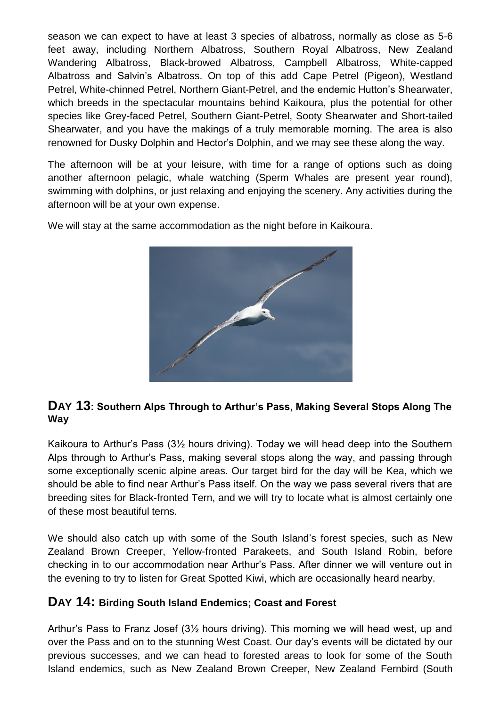season we can expect to have at least 3 species of albatross, normally as close as 5-6 feet away, including Northern Albatross, Southern Royal Albatross, New Zealand Wandering Albatross, Black-browed Albatross, Campbell Albatross, White-capped Albatross and Salvin's Albatross. On top of this add Cape Petrel (Pigeon), Westland Petrel, White-chinned Petrel, Northern Giant-Petrel, and the endemic Hutton's Shearwater, which breeds in the spectacular mountains behind Kaikoura, plus the potential for other species like Grey-faced Petrel, Southern Giant-Petrel, Sooty Shearwater and Short-tailed Shearwater, and you have the makings of a truly memorable morning. The area is also renowned for Dusky Dolphin and Hector's Dolphin, and we may see these along the way.

The afternoon will be at your leisure, with time for a range of options such as doing another afternoon pelagic, whale watching (Sperm Whales are present year round), swimming with dolphins, or just relaxing and enjoying the scenery. Any activities during the afternoon will be at your own expense.

We will stay at the same accommodation as the night before in Kaikoura.



## **DAY 13: Southern Alps Through to Arthur's Pass, Making Several Stops Along The Way**

Kaikoura to Arthur's Pass (3½ hours driving). Today we will head deep into the Southern Alps through to Arthur's Pass, making several stops along the way, and passing through some exceptionally scenic alpine areas. Our target bird for the day will be Kea, which we should be able to find near Arthur's Pass itself. On the way we pass several rivers that are breeding sites for Black-fronted Tern, and we will try to locate what is almost certainly one of these most beautiful terns.

We should also catch up with some of the South Island's forest species, such as New Zealand Brown Creeper, Yellow-fronted Parakeets, and South Island Robin, before checking in to our accommodation near Arthur's Pass. After dinner we will venture out in the evening to try to listen for Great Spotted Kiwi, which are occasionally heard nearby.

## **DAY 14: Birding South Island Endemics; Coast and Forest**

Arthur's Pass to Franz Josef (3½ hours driving). This morning we will head west, up and over the Pass and on to the stunning West Coast. Our day's events will be dictated by our previous successes, and we can head to forested areas to look for some of the South Island endemics, such as New Zealand Brown Creeper, New Zealand Fernbird (South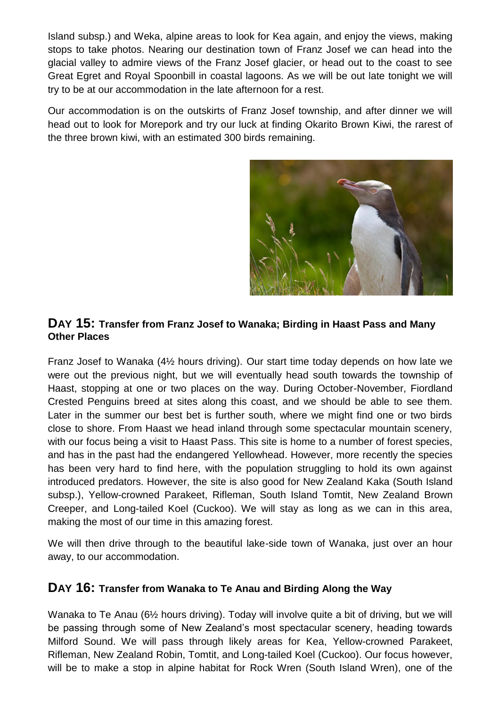Island subsp.) and Weka, alpine areas to look for Kea again, and enjoy the views, making stops to take photos. Nearing our destination town of Franz Josef we can head into the glacial valley to admire views of the Franz Josef glacier, or head out to the coast to see Great Egret and Royal Spoonbill in coastal lagoons. As we will be out late tonight we will try to be at our accommodation in the late afternoon for a rest.

Our accommodation is on the outskirts of Franz Josef township, and after dinner we will head out to look for Morepork and try our luck at finding Okarito Brown Kiwi, the rarest of the three brown kiwi, with an estimated 300 birds remaining.



#### **DAY 15: Transfer from Franz Josef to Wanaka; Birding in Haast Pass and Many Other Places**

Franz Josef to Wanaka (4½ hours driving). Our start time today depends on how late we were out the previous night, but we will eventually head south towards the township of Haast, stopping at one or two places on the way. During October-November, Fiordland Crested Penguins breed at sites along this coast, and we should be able to see them. Later in the summer our best bet is further south, where we might find one or two birds close to shore. From Haast we head inland through some spectacular mountain scenery, with our focus being a visit to Haast Pass. This site is home to a number of forest species, and has in the past had the endangered Yellowhead. However, more recently the species has been very hard to find here, with the population struggling to hold its own against introduced predators. However, the site is also good for New Zealand Kaka (South Island subsp.), Yellow-crowned Parakeet, Rifleman, South Island Tomtit, New Zealand Brown Creeper, and Long-tailed Koel (Cuckoo). We will stay as long as we can in this area, making the most of our time in this amazing forest.

We will then drive through to the beautiful lake-side town of Wanaka, just over an hour away, to our accommodation.

## **DAY 16: Transfer from Wanaka to Te Anau and Birding Along the Way**

Wanaka to Te Anau (6½ hours driving). Today will involve quite a bit of driving, but we will be passing through some of New Zealand's most spectacular scenery, heading towards Milford Sound. We will pass through likely areas for Kea, Yellow-crowned Parakeet, Rifleman, New Zealand Robin, Tomtit, and Long-tailed Koel (Cuckoo). Our focus however, will be to make a stop in alpine habitat for Rock Wren (South Island Wren), one of the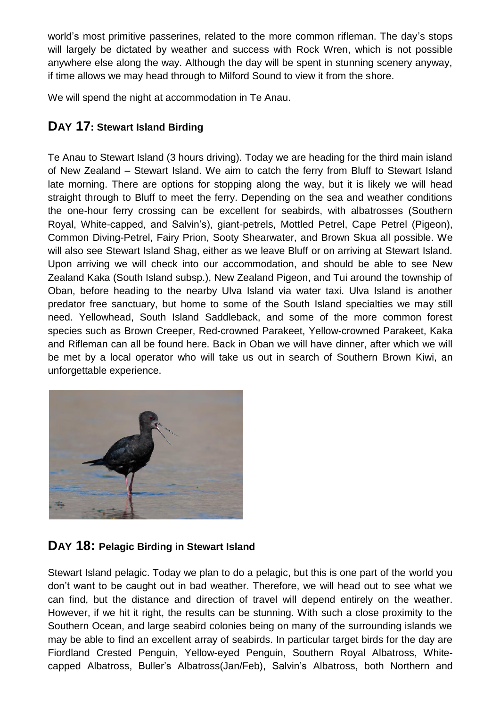world's most primitive passerines, related to the more common rifleman. The day's stops will largely be dictated by weather and success with Rock Wren, which is not possible anywhere else along the way. Although the day will be spent in stunning scenery anyway, if time allows we may head through to Milford Sound to view it from the shore.

We will spend the night at accommodation in Te Anau.

## **DAY 17: Stewart Island Birding**

Te Anau to Stewart Island (3 hours driving). Today we are heading for the third main island of New Zealand – Stewart Island. We aim to catch the ferry from Bluff to Stewart Island late morning. There are options for stopping along the way, but it is likely we will head straight through to Bluff to meet the ferry. Depending on the sea and weather conditions the one-hour ferry crossing can be excellent for seabirds, with albatrosses (Southern Royal, White-capped, and Salvin's), giant-petrels, Mottled Petrel, Cape Petrel (Pigeon), Common Diving-Petrel, Fairy Prion, Sooty Shearwater, and Brown Skua all possible. We will also see Stewart Island Shag, either as we leave Bluff or on arriving at Stewart Island. Upon arriving we will check into our accommodation, and should be able to see New Zealand Kaka (South Island subsp.), New Zealand Pigeon, and Tui around the township of Oban, before heading to the nearby Ulva Island via water taxi. Ulva Island is another predator free sanctuary, but home to some of the South Island specialties we may still need. Yellowhead, South Island Saddleback, and some of the more common forest species such as Brown Creeper, Red-crowned Parakeet, Yellow-crowned Parakeet, Kaka and Rifleman can all be found here. Back in Oban we will have dinner, after which we will be met by a local operator who will take us out in search of Southern Brown Kiwi, an unforgettable experience.



## **DAY 18: Pelagic Birding in Stewart Island**

Stewart Island pelagic. Today we plan to do a pelagic, but this is one part of the world you don't want to be caught out in bad weather. Therefore, we will head out to see what we can find, but the distance and direction of travel will depend entirely on the weather. However, if we hit it right, the results can be stunning. With such a close proximity to the Southern Ocean, and large seabird colonies being on many of the surrounding islands we may be able to find an excellent array of seabirds. In particular target birds for the day are Fiordland Crested Penguin, Yellow-eyed Penguin, Southern Royal Albatross, Whitecapped Albatross, Buller's Albatross(Jan/Feb), Salvin's Albatross, both Northern and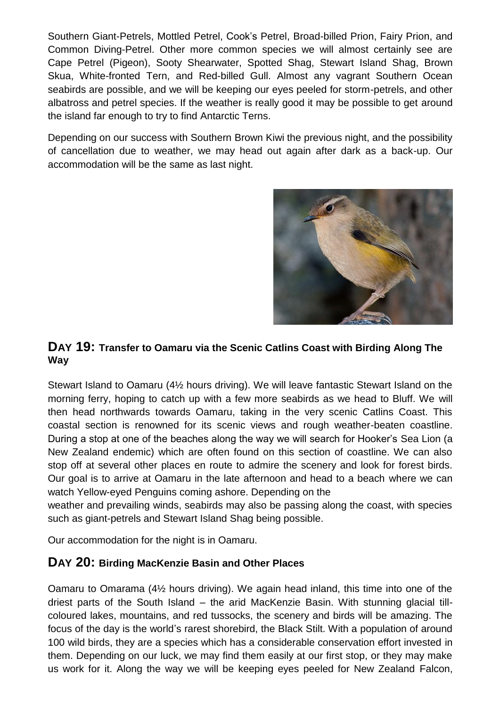Southern Giant-Petrels, Mottled Petrel, Cook's Petrel, Broad-billed Prion, Fairy Prion, and Common Diving-Petrel. Other more common species we will almost certainly see are Cape Petrel (Pigeon), Sooty Shearwater, Spotted Shag, Stewart Island Shag, Brown Skua, White-fronted Tern, and Red-billed Gull. Almost any vagrant Southern Ocean seabirds are possible, and we will be keeping our eyes peeled for storm-petrels, and other albatross and petrel species. If the weather is really good it may be possible to get around the island far enough to try to find Antarctic Terns.

Depending on our success with Southern Brown Kiwi the previous night, and the possibility of cancellation due to weather, we may head out again after dark as a back-up. Our accommodation will be the same as last night.



#### **DAY 19: Transfer to Oamaru via the Scenic Catlins Coast with Birding Along The Way**

Stewart Island to Oamaru (4½ hours driving). We will leave fantastic Stewart Island on the morning ferry, hoping to catch up with a few more seabirds as we head to Bluff. We will then head northwards towards Oamaru, taking in the very scenic Catlins Coast. This coastal section is renowned for its scenic views and rough weather-beaten coastline. During a stop at one of the beaches along the way we will search for Hooker's Sea Lion (a New Zealand endemic) which are often found on this section of coastline. We can also stop off at several other places en route to admire the scenery and look for forest birds. Our goal is to arrive at Oamaru in the late afternoon and head to a beach where we can watch Yellow-eyed Penguins coming ashore. Depending on the

weather and prevailing winds, seabirds may also be passing along the coast, with species such as giant-petrels and Stewart Island Shag being possible.

Our accommodation for the night is in Oamaru.

#### **DAY 20: Birding MacKenzie Basin and Other Places**

Oamaru to Omarama (4½ hours driving). We again head inland, this time into one of the driest parts of the South Island – the arid MacKenzie Basin. With stunning glacial tillcoloured lakes, mountains, and red tussocks, the scenery and birds will be amazing. The focus of the day is the world's rarest shorebird, the Black Stilt. With a population of around 100 wild birds, they are a species which has a considerable conservation effort invested in them. Depending on our luck, we may find them easily at our first stop, or they may make us work for it. Along the way we will be keeping eyes peeled for New Zealand Falcon,